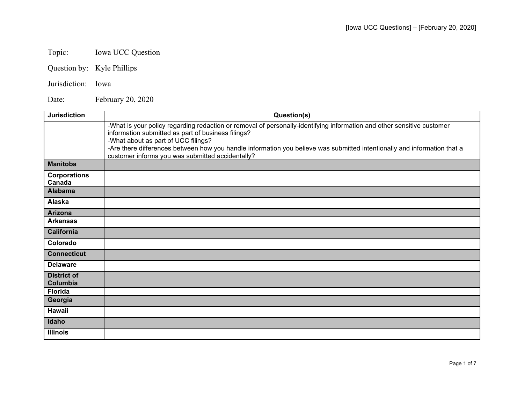## Topic: Iowa UCC Question

- Question by: Kyle Phillips
- Jurisdiction: Iowa

Date: February 20, 2020

| <b>Jurisdiction</b>            | Question(s)                                                                                                                                                                                                         |
|--------------------------------|---------------------------------------------------------------------------------------------------------------------------------------------------------------------------------------------------------------------|
|                                | -What is your policy regarding redaction or removal of personally-identifying information and other sensitive customer<br>information submitted as part of business filings?<br>-What about as part of UCC filings? |
|                                | -Are there differences between how you handle information you believe was submitted intentionally and information that a<br>customer informs you was submitted accidentally?                                        |
| <b>Manitoba</b>                |                                                                                                                                                                                                                     |
| <b>Corporations</b><br>Canada  |                                                                                                                                                                                                                     |
| <b>Alabama</b>                 |                                                                                                                                                                                                                     |
| Alaska                         |                                                                                                                                                                                                                     |
| Arizona                        |                                                                                                                                                                                                                     |
| <b>Arkansas</b>                |                                                                                                                                                                                                                     |
| <b>California</b>              |                                                                                                                                                                                                                     |
| Colorado                       |                                                                                                                                                                                                                     |
| <b>Connecticut</b>             |                                                                                                                                                                                                                     |
| <b>Delaware</b>                |                                                                                                                                                                                                                     |
| <b>District of</b><br>Columbia |                                                                                                                                                                                                                     |
| <b>Florida</b>                 |                                                                                                                                                                                                                     |
| Georgia                        |                                                                                                                                                                                                                     |
| Hawaii                         |                                                                                                                                                                                                                     |
| Idaho                          |                                                                                                                                                                                                                     |
| <b>Illinois</b>                |                                                                                                                                                                                                                     |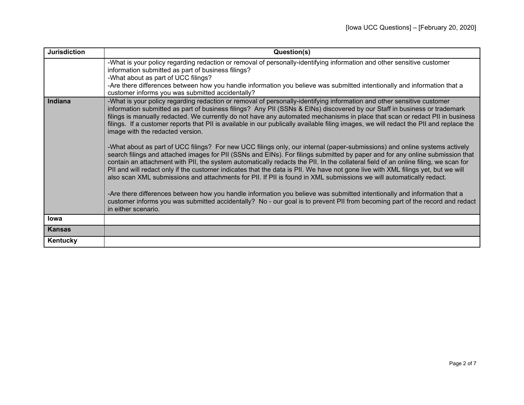| <b>Jurisdiction</b> | Question(s)                                                                                                                                                                                                                                                                                                                                                                                                                                                                                                                                                                                                                                                                                                                                                                                                                                                                                                                                                                                                                                                                                                                                                                                                                                                                                                                                                                                                                                                                                                          |
|---------------------|----------------------------------------------------------------------------------------------------------------------------------------------------------------------------------------------------------------------------------------------------------------------------------------------------------------------------------------------------------------------------------------------------------------------------------------------------------------------------------------------------------------------------------------------------------------------------------------------------------------------------------------------------------------------------------------------------------------------------------------------------------------------------------------------------------------------------------------------------------------------------------------------------------------------------------------------------------------------------------------------------------------------------------------------------------------------------------------------------------------------------------------------------------------------------------------------------------------------------------------------------------------------------------------------------------------------------------------------------------------------------------------------------------------------------------------------------------------------------------------------------------------------|
|                     | -What is your policy regarding redaction or removal of personally-identifying information and other sensitive customer<br>information submitted as part of business filings?<br>-What about as part of UCC filings?<br>-Are there differences between how you handle information you believe was submitted intentionally and information that a<br>customer informs you was submitted accidentally?                                                                                                                                                                                                                                                                                                                                                                                                                                                                                                                                                                                                                                                                                                                                                                                                                                                                                                                                                                                                                                                                                                                  |
| Indiana             | -What is your policy regarding redaction or removal of personally-identifying information and other sensitive customer<br>information submitted as part of business filings? Any PII (SSNs & EINs) discovered by our Staff in business or trademark<br>filings is manually redacted. We currently do not have any automated mechanisms in place that scan or redact PII in business<br>filings. If a customer reports that PII is available in our publically available filing images, we will redact the PII and replace the<br>image with the redacted version.<br>-What about as part of UCC filings? For new UCC filings only, our internal (paper-submissions) and online systems actively<br>search filings and attached images for PII (SSNs and EINs). For filings submitted by paper and for any online submission that<br>contain an attachment with PII, the system automatically redacts the PII. In the collateral field of an online filing, we scan for<br>PII and will redact only if the customer indicates that the data is PII. We have not gone live with XML filings yet, but we will<br>also scan XML submissions and attachments for PII. If PII is found in XML submissions we will automatically redact.<br>-Are there differences between how you handle information you believe was submitted intentionally and information that a<br>customer informs you was submitted accidentally? No - our goal is to prevent PII from becoming part of the record and redact<br>in either scenario. |
| lowa                |                                                                                                                                                                                                                                                                                                                                                                                                                                                                                                                                                                                                                                                                                                                                                                                                                                                                                                                                                                                                                                                                                                                                                                                                                                                                                                                                                                                                                                                                                                                      |
| <b>Kansas</b>       |                                                                                                                                                                                                                                                                                                                                                                                                                                                                                                                                                                                                                                                                                                                                                                                                                                                                                                                                                                                                                                                                                                                                                                                                                                                                                                                                                                                                                                                                                                                      |
| Kentucky            |                                                                                                                                                                                                                                                                                                                                                                                                                                                                                                                                                                                                                                                                                                                                                                                                                                                                                                                                                                                                                                                                                                                                                                                                                                                                                                                                                                                                                                                                                                                      |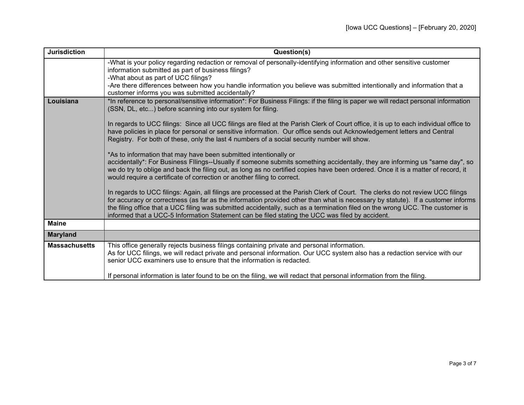| <b>Jurisdiction</b>  | Question(s)                                                                                                                                                                                                                                                                                                                                                                                                                                                                                           |
|----------------------|-------------------------------------------------------------------------------------------------------------------------------------------------------------------------------------------------------------------------------------------------------------------------------------------------------------------------------------------------------------------------------------------------------------------------------------------------------------------------------------------------------|
|                      | -What is your policy regarding redaction or removal of personally-identifying information and other sensitive customer<br>information submitted as part of business filings?<br>-What about as part of UCC filings?                                                                                                                                                                                                                                                                                   |
|                      | -Are there differences between how you handle information you believe was submitted intentionally and information that a<br>customer informs you was submitted accidentally?                                                                                                                                                                                                                                                                                                                          |
| Louisiana            | *In reference to personal/sensitive information*: For Business Filings: if the filing is paper we will redact personal information<br>(SSN, DL, etc) before scanning into our system for filing.                                                                                                                                                                                                                                                                                                      |
|                      | In regards to UCC filings: Since all UCC filings are filed at the Parish Clerk of Court office, it is up to each individual office to<br>have policies in place for personal or sensitive information. Our office sends out Acknowledgement letters and Central<br>Registry. For both of these, only the last 4 numbers of a social security number will show.                                                                                                                                        |
|                      | *As to information that may have been submitted intentionally or<br>accidentally*: For Business Fllings--Usually if someone submits something accidentally, they are informing us "same day", so<br>we do try to oblige and back the filing out, as long as no certified copies have been ordered. Once it is a matter of record, it<br>would require a certificate of correction or another filing to correct.                                                                                       |
|                      | In regards to UCC filings: Again, all filings are processed at the Parish Clerk of Court. The clerks do not review UCC filings<br>for accuracy or correctness (as far as the information provided other than what is necessary by statute). If a customer informs<br>the filing office that a UCC filing was submitted accidentally, such as a termination filed on the wrong UCC. The customer is<br>informed that a UCC-5 Information Statement can be filed stating the UCC was filed by accident. |
| <b>Maine</b>         |                                                                                                                                                                                                                                                                                                                                                                                                                                                                                                       |
| <b>Maryland</b>      |                                                                                                                                                                                                                                                                                                                                                                                                                                                                                                       |
| <b>Massachusetts</b> | This office generally rejects business filings containing private and personal information.<br>As for UCC filings, we will redact private and personal information. Our UCC system also has a redaction service with our<br>senior UCC examiners use to ensure that the information is redacted.                                                                                                                                                                                                      |
|                      | If personal information is later found to be on the filing, we will redact that personal information from the filing.                                                                                                                                                                                                                                                                                                                                                                                 |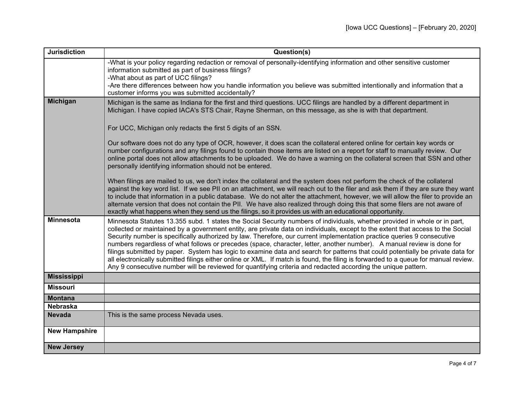| <b>Jurisdiction</b>  | Question(s)                                                                                                                                                                                                                                                                                                                                                                                                                                                                                                                                                                                                                                                                                                                                                                                                                                                                                                   |
|----------------------|---------------------------------------------------------------------------------------------------------------------------------------------------------------------------------------------------------------------------------------------------------------------------------------------------------------------------------------------------------------------------------------------------------------------------------------------------------------------------------------------------------------------------------------------------------------------------------------------------------------------------------------------------------------------------------------------------------------------------------------------------------------------------------------------------------------------------------------------------------------------------------------------------------------|
|                      | -What is your policy regarding redaction or removal of personally-identifying information and other sensitive customer<br>information submitted as part of business filings?                                                                                                                                                                                                                                                                                                                                                                                                                                                                                                                                                                                                                                                                                                                                  |
|                      | -What about as part of UCC filings?<br>-Are there differences between how you handle information you believe was submitted intentionally and information that a<br>customer informs you was submitted accidentally?                                                                                                                                                                                                                                                                                                                                                                                                                                                                                                                                                                                                                                                                                           |
| <b>Michigan</b>      | Michigan is the same as Indiana for the first and third questions. UCC filings are handled by a different department in<br>Michigan. I have copied IACA's STS Chair, Rayne Sherman, on this message, as she is with that department.                                                                                                                                                                                                                                                                                                                                                                                                                                                                                                                                                                                                                                                                          |
|                      | For UCC, Michigan only redacts the first 5 digits of an SSN.                                                                                                                                                                                                                                                                                                                                                                                                                                                                                                                                                                                                                                                                                                                                                                                                                                                  |
|                      | Our software does not do any type of OCR, however, it does scan the collateral entered online for certain key words or<br>number configurations and any filings found to contain those items are listed on a report for staff to manually review. Our<br>online portal does not allow attachments to be uploaded. We do have a warning on the collateral screen that SSN and other<br>personally identifying information should not be entered.                                                                                                                                                                                                                                                                                                                                                                                                                                                               |
|                      | When filings are mailed to us, we don't index the collateral and the system does not perform the check of the collateral<br>against the key word list. If we see PII on an attachment, we will reach out to the filer and ask them if they are sure they want<br>to include that information in a public database. We do not alter the attachment, however, we will allow the filer to provide an<br>alternate version that does not contain the PII. We have also realized through doing this that some filers are not aware of<br>exactly what happens when they send us the filings, so it provides us with an educational opportunity.                                                                                                                                                                                                                                                                    |
| <b>Minnesota</b>     | Minnesota Statutes 13.355 subd. 1 states the Social Security numbers of individuals, whether provided in whole or in part,<br>collected or maintained by a government entity, are private data on individuals, except to the extent that access to the Social<br>Security number is specifically authorized by law. Therefore, our current implementation practice queries 9 consecutive<br>numbers regardless of what follows or precedes (space, character, letter, another number). A manual review is done for<br>filings submitted by paper. System has logic to examine data and search for patterns that could potentially be private data for<br>all electronically submitted filings either online or XML. If match is found, the filing is forwarded to a queue for manual review.<br>Any 9 consecutive number will be reviewed for quantifying criteria and redacted according the unique pattern. |
| <b>Mississippi</b>   |                                                                                                                                                                                                                                                                                                                                                                                                                                                                                                                                                                                                                                                                                                                                                                                                                                                                                                               |
| <b>Missouri</b>      |                                                                                                                                                                                                                                                                                                                                                                                                                                                                                                                                                                                                                                                                                                                                                                                                                                                                                                               |
| <b>Montana</b>       |                                                                                                                                                                                                                                                                                                                                                                                                                                                                                                                                                                                                                                                                                                                                                                                                                                                                                                               |
| <b>Nebraska</b>      |                                                                                                                                                                                                                                                                                                                                                                                                                                                                                                                                                                                                                                                                                                                                                                                                                                                                                                               |
| <b>Nevada</b>        | This is the same process Nevada uses.                                                                                                                                                                                                                                                                                                                                                                                                                                                                                                                                                                                                                                                                                                                                                                                                                                                                         |
| <b>New Hampshire</b> |                                                                                                                                                                                                                                                                                                                                                                                                                                                                                                                                                                                                                                                                                                                                                                                                                                                                                                               |
| <b>New Jersey</b>    |                                                                                                                                                                                                                                                                                                                                                                                                                                                                                                                                                                                                                                                                                                                                                                                                                                                                                                               |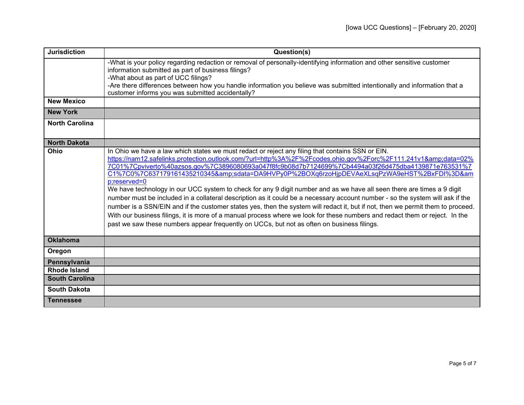| <b>Jurisdiction</b>   | Question(s)                                                                                                                                                                                                                                                                                                                                                                                                                                                                                                                                                                                                                                                                                                                                                                                                                                                                                                                                                                                                                                                 |
|-----------------------|-------------------------------------------------------------------------------------------------------------------------------------------------------------------------------------------------------------------------------------------------------------------------------------------------------------------------------------------------------------------------------------------------------------------------------------------------------------------------------------------------------------------------------------------------------------------------------------------------------------------------------------------------------------------------------------------------------------------------------------------------------------------------------------------------------------------------------------------------------------------------------------------------------------------------------------------------------------------------------------------------------------------------------------------------------------|
|                       | -What is your policy regarding redaction or removal of personally-identifying information and other sensitive customer<br>information submitted as part of business filings?<br>-What about as part of UCC filings?<br>-Are there differences between how you handle information you believe was submitted intentionally and information that a<br>customer informs you was submitted accidentally?                                                                                                                                                                                                                                                                                                                                                                                                                                                                                                                                                                                                                                                         |
| <b>New Mexico</b>     |                                                                                                                                                                                                                                                                                                                                                                                                                                                                                                                                                                                                                                                                                                                                                                                                                                                                                                                                                                                                                                                             |
| <b>New York</b>       |                                                                                                                                                                                                                                                                                                                                                                                                                                                                                                                                                                                                                                                                                                                                                                                                                                                                                                                                                                                                                                                             |
| <b>North Carolina</b> |                                                                                                                                                                                                                                                                                                                                                                                                                                                                                                                                                                                                                                                                                                                                                                                                                                                                                                                                                                                                                                                             |
| <b>North Dakota</b>   |                                                                                                                                                                                                                                                                                                                                                                                                                                                                                                                                                                                                                                                                                                                                                                                                                                                                                                                                                                                                                                                             |
| Ohio                  | In Ohio we have a law which states we must redact or reject any filing that contains SSN or EIN.<br>https://nam12.safelinks.protection.outlook.com/?url=http%3A%2F%2Fcodes.ohio.gov%2Forc%2F111.241v1&data=02%<br>7C01%7Cpviverto%40azsos.gov%7C3896080693a047f8fc9b08d7b7124699%7Cb4494a03f26d475dba4139871e763531%7<br>C1%7C0%7C637179161435210345&sdata=DA9HVPy0P%2BOXq6rzoHjpDEVAeXLsqPzWA9eHST%2BxFDI%3D&am<br>p;reserved=0<br>We have technology in our UCC system to check for any 9 digit number and as we have all seen there are times a 9 digit<br>number must be included in a collateral description as it could be a necessary account number - so the system will ask if the<br>number is a SSN/EIN and if the customer states yes, then the system will redact it, but if not, then we permit them to proceed.<br>With our business filings, it is more of a manual process where we look for these numbers and redact them or reject. In the<br>past we saw these numbers appear frequently on UCCs, but not as often on business filings. |
| <b>Oklahoma</b>       |                                                                                                                                                                                                                                                                                                                                                                                                                                                                                                                                                                                                                                                                                                                                                                                                                                                                                                                                                                                                                                                             |
| Oregon                |                                                                                                                                                                                                                                                                                                                                                                                                                                                                                                                                                                                                                                                                                                                                                                                                                                                                                                                                                                                                                                                             |
| Pennsylvania          |                                                                                                                                                                                                                                                                                                                                                                                                                                                                                                                                                                                                                                                                                                                                                                                                                                                                                                                                                                                                                                                             |
| <b>Rhode Island</b>   |                                                                                                                                                                                                                                                                                                                                                                                                                                                                                                                                                                                                                                                                                                                                                                                                                                                                                                                                                                                                                                                             |
| <b>South Carolina</b> |                                                                                                                                                                                                                                                                                                                                                                                                                                                                                                                                                                                                                                                                                                                                                                                                                                                                                                                                                                                                                                                             |
| <b>South Dakota</b>   |                                                                                                                                                                                                                                                                                                                                                                                                                                                                                                                                                                                                                                                                                                                                                                                                                                                                                                                                                                                                                                                             |
| <b>Tennessee</b>      |                                                                                                                                                                                                                                                                                                                                                                                                                                                                                                                                                                                                                                                                                                                                                                                                                                                                                                                                                                                                                                                             |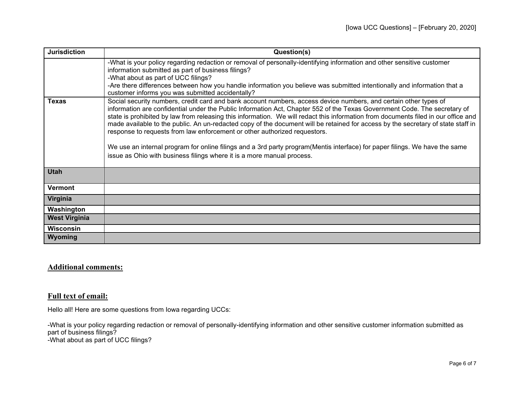| <b>Jurisdiction</b>  | Question(s)                                                                                                                                                                                                                                                                                                                                                                                                                                                                                                                                                                                                                                                                                                                                                                                                   |
|----------------------|---------------------------------------------------------------------------------------------------------------------------------------------------------------------------------------------------------------------------------------------------------------------------------------------------------------------------------------------------------------------------------------------------------------------------------------------------------------------------------------------------------------------------------------------------------------------------------------------------------------------------------------------------------------------------------------------------------------------------------------------------------------------------------------------------------------|
|                      | -What is your policy regarding redaction or removal of personally-identifying information and other sensitive customer<br>information submitted as part of business filings?<br>-What about as part of UCC filings?<br>-Are there differences between how you handle information you believe was submitted intentionally and information that a<br>customer informs you was submitted accidentally?                                                                                                                                                                                                                                                                                                                                                                                                           |
| <b>Texas</b>         | Social security numbers, credit card and bank account numbers, access device numbers, and certain other types of<br>information are confidential under the Public Information Act, Chapter 552 of the Texas Government Code. The secretary of<br>state is prohibited by law from releasing this information. We will redact this information from documents filed in our office and<br>made available to the public. An un-redacted copy of the document will be retained for access by the secretary of state staff in<br>response to requests from law enforcement or other authorized requestors.<br>We use an internal program for online filings and a 3rd party program(Mentis interface) for paper filings. We have the same<br>issue as Ohio with business filings where it is a more manual process. |
| <b>Utah</b>          |                                                                                                                                                                                                                                                                                                                                                                                                                                                                                                                                                                                                                                                                                                                                                                                                               |
| <b>Vermont</b>       |                                                                                                                                                                                                                                                                                                                                                                                                                                                                                                                                                                                                                                                                                                                                                                                                               |
| Virginia             |                                                                                                                                                                                                                                                                                                                                                                                                                                                                                                                                                                                                                                                                                                                                                                                                               |
| Washington           |                                                                                                                                                                                                                                                                                                                                                                                                                                                                                                                                                                                                                                                                                                                                                                                                               |
| <b>West Virginia</b> |                                                                                                                                                                                                                                                                                                                                                                                                                                                                                                                                                                                                                                                                                                                                                                                                               |
| <b>Wisconsin</b>     |                                                                                                                                                                                                                                                                                                                                                                                                                                                                                                                                                                                                                                                                                                                                                                                                               |
| <b>Wyoming</b>       |                                                                                                                                                                                                                                                                                                                                                                                                                                                                                                                                                                                                                                                                                                                                                                                                               |

## **Additional comments:**

## **Full text of email:**

Hello all! Here are some questions from Iowa regarding UCCs:

-What is your policy regarding redaction or removal of personally-identifying information and other sensitive customer information submitted as part of business filings? -What about as part of UCC filings?